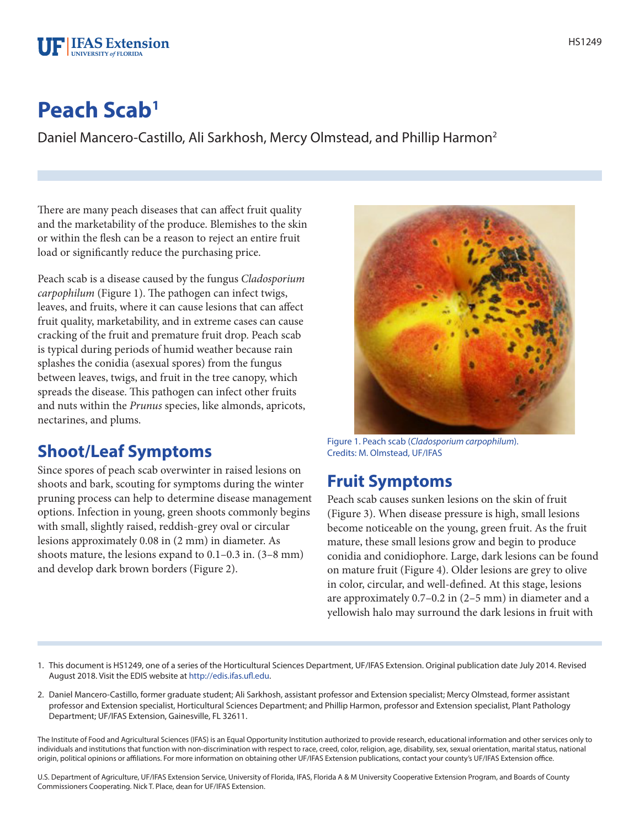# **Peach Scab1**

**F** IFAS Extension NIVERSITY of FLORIDA

Daniel Mancero-Castillo, Ali Sarkhosh, Mercy Olmstead, and Phillip Harmon2

There are many peach diseases that can affect fruit quality and the marketability of the produce. Blemishes to the skin or within the flesh can be a reason to reject an entire fruit load or significantly reduce the purchasing price.

Peach scab is a disease caused by the fungus *Cladosporium carpophilum* (Figure 1). The pathogen can infect twigs, leaves, and fruits, where it can cause lesions that can affect fruit quality, marketability, and in extreme cases can cause cracking of the fruit and premature fruit drop. Peach scab is typical during periods of humid weather because rain splashes the conidia (asexual spores) from the fungus between leaves, twigs, and fruit in the tree canopy, which spreads the disease. This pathogen can infect other fruits and nuts within the *Prunus* species, like almonds, apricots, nectarines, and plums.

## **Shoot/Leaf Symptoms**

Since spores of peach scab overwinter in raised lesions on shoots and bark, scouting for symptoms during the winter pruning process can help to determine disease management options. Infection in young, green shoots commonly begins with small, slightly raised, reddish-grey oval or circular lesions approximately 0.08 in (2 mm) in diameter. As shoots mature, the lesions expand to 0.1–0.3 in. (3–8 mm) and develop dark brown borders (Figure 2).



Figure 1. Peach scab (*Cladosporium carpophilum*). Credits: M. Olmstead, UF/IFAS

## **Fruit Symptoms**

Peach scab causes sunken lesions on the skin of fruit (Figure 3). When disease pressure is high, small lesions become noticeable on the young, green fruit. As the fruit mature, these small lesions grow and begin to produce conidia and conidiophore. Large, dark lesions can be found on mature fruit (Figure 4). Older lesions are grey to olive in color, circular, and well-defined. At this stage, lesions are approximately 0.7–0.2 in (2–5 mm) in diameter and a yellowish halo may surround the dark lesions in fruit with

- 1. This document is HS1249, one of a series of the Horticultural Sciences Department, UF/IFAS Extension. Original publication date July 2014. Revised August 2018. Visit the EDIS website at http://edis.ifas.ufl.edu.
- 2. Daniel Mancero-Castillo, former graduate student; Ali Sarkhosh, assistant professor and Extension specialist; Mercy Olmstead, former assistant professor and Extension specialist, Horticultural Sciences Department; and Phillip Harmon, professor and Extension specialist, Plant Pathology Department; UF/IFAS Extension, Gainesville, FL 32611.

The Institute of Food and Agricultural Sciences (IFAS) is an Equal Opportunity Institution authorized to provide research, educational information and other services only to individuals and institutions that function with non-discrimination with respect to race, creed, color, religion, age, disability, sex, sexual orientation, marital status, national origin, political opinions or affiliations. For more information on obtaining other UF/IFAS Extension publications, contact your county's UF/IFAS Extension office.

U.S. Department of Agriculture, UF/IFAS Extension Service, University of Florida, IFAS, Florida A & M University Cooperative Extension Program, and Boards of County Commissioners Cooperating. Nick T. Place, dean for UF/IFAS Extension.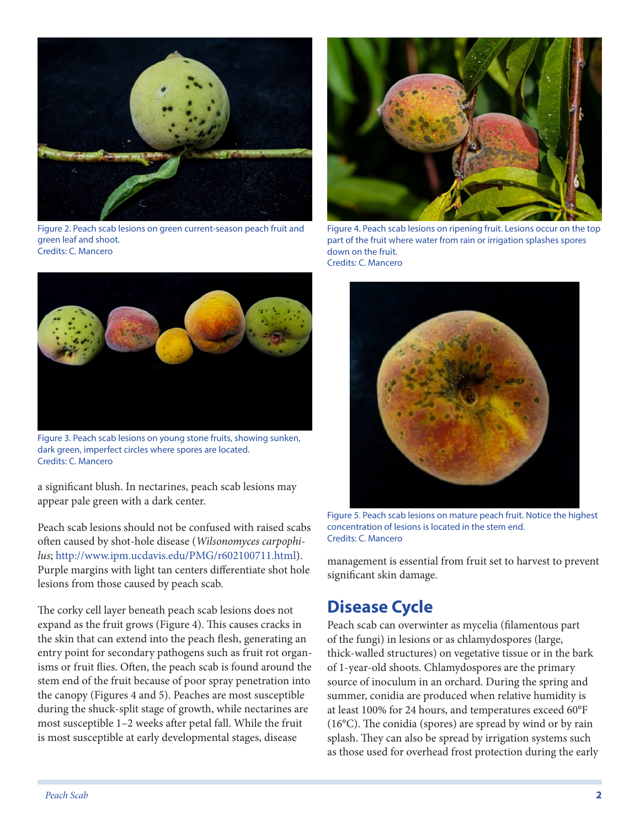

Figure 2. Peach scab lesions on green current-season peach fruit and green leaf and shoot. Credits: C. Mancero



Figure 4. Peach scab lesions on ripening fruit. Lesions occur on the top part of the fruit where water from rain or irrigation splashes spores down on the fruit. Credits: C. Mancero



Figure 3. Peach scab lesions on young stone fruits, showing sunken, dark green, imperfect circles where spores are located. Credits: C. Mancero

a significant blush. In nectarines, peach scab lesions may appear pale green with a dark center.

Peach scab lesions should not be confused with raised scabs often caused by shot-hole disease (*Wilsonomyces carpophilus*; http://www.ipm.ucdavis.edu/PMG/r602100711.html). Purple margins with light tan centers differentiate shot hole lesions from those caused by peach scab.

The corky cell layer beneath peach scab lesions does not expand as the fruit grows (Figure 4). This causes cracks in the skin that can extend into the peach flesh, generating an entry point for secondary pathogens such as fruit rot organisms or fruit flies. Often, the peach scab is found around the stem end of the fruit because of poor spray penetration into the canopy (Figures 4 and 5). Peaches are most susceptible during the shuck-split stage of growth, while nectarines are most susceptible 1–2 weeks after petal fall. While the fruit is most susceptible at early developmental stages, disease



Figure 5. Peach scab lesions on mature peach fruit. Notice the highest concentration of lesions is located in the stem end. Credits: C. Mancero

management is essential from fruit set to harvest to prevent significant skin damage.

## **Disease Cycle**

Peach scab can overwinter as mycelia (filamentous part of the fungi) in lesions or as chlamydospores (large, thick-walled structures) on vegetative tissue or in the bark of 1-year-old shoots. Chlamydospores are the primary source of inoculum in an orchard. During the spring and summer, conidia are produced when relative humidity is at least 100% for 24 hours, and temperatures exceed 60°F (16°C). The conidia (spores) are spread by wind or by rain splash. They can also be spread by irrigation systems such as those used for overhead frost protection during the early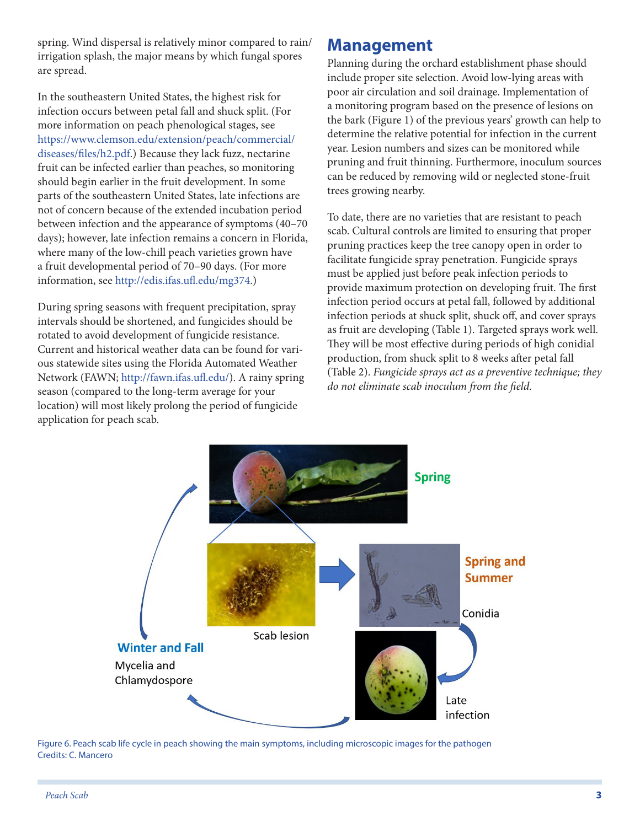spring. Wind dispersal is relatively minor compared to rain/ irrigation splash, the major means by which fungal spores are spread.

In the southeastern United States, the highest risk for infection occurs between petal fall and shuck split. (For more information on peach phenological stages, see https://www.clemson.edu/extension/peach/commercial/ diseases/files/h2.pdf.) Because they lack fuzz, nectarine fruit can be infected earlier than peaches, so monitoring should begin earlier in the fruit development. In some parts of the southeastern United States, late infections are not of concern because of the extended incubation period between infection and the appearance of symptoms (40–70 days); however, late infection remains a concern in Florida, where many of the low-chill peach varieties grown have a fruit developmental period of 70–90 days. (For more information, see http://edis.ifas.ufl.edu/mg374.)

During spring seasons with frequent precipitation, spray intervals should be shortened, and fungicides should be rotated to avoid development of fungicide resistance. Current and historical weather data can be found for various statewide sites using the Florida Automated Weather Network (FAWN; http://fawn.ifas.ufl.edu/). A rainy spring season (compared to the long-term average for your location) will most likely prolong the period of fungicide application for peach scab.

#### **Management**

Planning during the orchard establishment phase should include proper site selection. Avoid low-lying areas with poor air circulation and soil drainage. Implementation of a monitoring program based on the presence of lesions on the bark (Figure 1) of the previous years' growth can help to determine the relative potential for infection in the current year. Lesion numbers and sizes can be monitored while pruning and fruit thinning. Furthermore, inoculum sources can be reduced by removing wild or neglected stone-fruit trees growing nearby.

To date, there are no varieties that are resistant to peach scab. Cultural controls are limited to ensuring that proper pruning practices keep the tree canopy open in order to facilitate fungicide spray penetration. Fungicide sprays must be applied just before peak infection periods to provide maximum protection on developing fruit. The first infection period occurs at petal fall, followed by additional infection periods at shuck split, shuck off, and cover sprays as fruit are developing (Table 1). Targeted sprays work well. They will be most effective during periods of high conidial production, from shuck split to 8 weeks after petal fall (Table 2). *Fungicide sprays act as a preventive technique; they do not eliminate scab inoculum from the field.*



Figure 6. Peach scab life cycle in peach showing the main symptoms, including microscopic images for the pathogen Credits: C. Mancero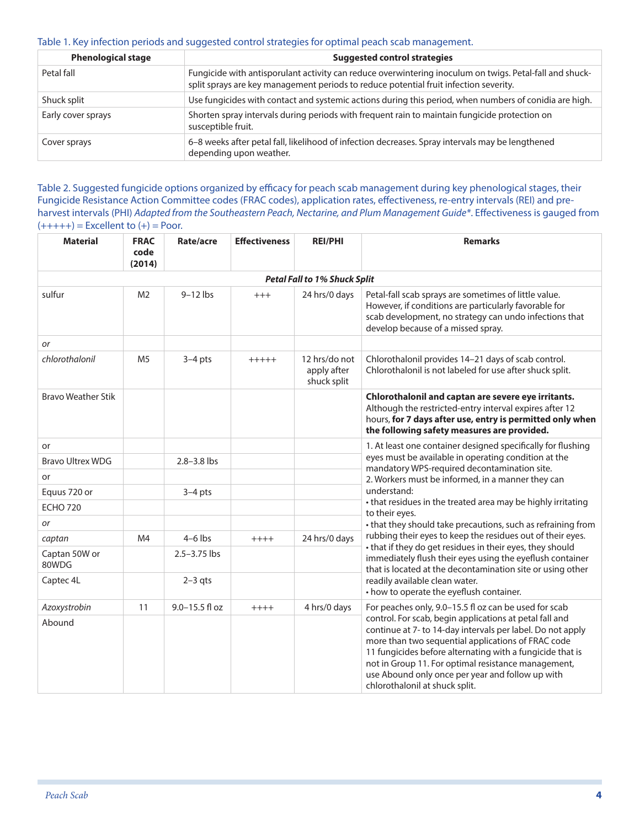#### Table 1. Key infection periods and suggested control strategies for optimal peach scab management.

| <b>Phenological stage</b> | <b>Suggested control strategies</b>                                                                                                                                                              |
|---------------------------|--------------------------------------------------------------------------------------------------------------------------------------------------------------------------------------------------|
| Petal fall                | Fungicide with antisporulant activity can reduce overwintering inoculum on twigs. Petal-fall and shuck-<br>split sprays are key management periods to reduce potential fruit infection severity. |
| Shuck split               | Use fungicides with contact and systemic actions during this period, when numbers of conidia are high.                                                                                           |
| Early cover sprays        | Shorten spray intervals during periods with frequent rain to maintain fungicide protection on<br>susceptible fruit.                                                                              |
| Cover sprays              | 6-8 weeks after petal fall, likelihood of infection decreases. Spray intervals may be lengthened<br>depending upon weather.                                                                      |

Table 2. Suggested fungicide options organized by efficacy for peach scab management during key phenological stages, their Fungicide Resistance Action Committee codes (FRAC codes), application rates, effectiveness, re-entry intervals (REI) and preharvest intervals (PHI) *Adapted from the Southeastern Peach, Nectarine, and Plum Management Guide\**. Effectiveness is gauged from  $(+++++) =$  Excellent to  $(+) =$  Poor.

| <b>Material</b>                     | <b>FRAC</b><br>code<br>(2014) | Rate/acre        | <b>Effectiveness</b> | <b>REI/PHI</b>                              | <b>Remarks</b>                                                                                                                                                                                                                                                                                                                                                                        |  |  |
|-------------------------------------|-------------------------------|------------------|----------------------|---------------------------------------------|---------------------------------------------------------------------------------------------------------------------------------------------------------------------------------------------------------------------------------------------------------------------------------------------------------------------------------------------------------------------------------------|--|--|
| <b>Petal Fall to 1% Shuck Split</b> |                               |                  |                      |                                             |                                                                                                                                                                                                                                                                                                                                                                                       |  |  |
| sulfur                              | M <sub>2</sub>                | $9-12$ lbs       | $+++$                | 24 hrs/0 days                               | Petal-fall scab sprays are sometimes of little value.<br>However, if conditions are particularly favorable for<br>scab development, no strategy can undo infections that<br>develop because of a missed spray.                                                                                                                                                                        |  |  |
| or                                  |                               |                  |                      |                                             |                                                                                                                                                                                                                                                                                                                                                                                       |  |  |
| chlorothalonil                      | M <sub>5</sub>                | $3-4$ pts        | $+++++$              | 12 hrs/do not<br>apply after<br>shuck split | Chlorothalonil provides 14-21 days of scab control.<br>Chlorothalonil is not labeled for use after shuck split.                                                                                                                                                                                                                                                                       |  |  |
| <b>Bravo Weather Stik</b>           |                               |                  |                      |                                             | Chlorothalonil and captan are severe eye irritants.<br>Although the restricted-entry interval expires after 12<br>hours, for 7 days after use, entry is permitted only when<br>the following safety measures are provided.                                                                                                                                                            |  |  |
| or                                  |                               |                  |                      |                                             | 1. At least one container designed specifically for flushing                                                                                                                                                                                                                                                                                                                          |  |  |
| <b>Bravo Ultrex WDG</b>             |                               | 2.8-3.8 lbs      |                      |                                             | eyes must be available in operating condition at the<br>mandatory WPS-required decontamination site.                                                                                                                                                                                                                                                                                  |  |  |
| or                                  |                               |                  |                      |                                             | 2. Workers must be informed, in a manner they can                                                                                                                                                                                                                                                                                                                                     |  |  |
| Equus 720 or                        |                               | $3-4$ pts        |                      |                                             | understand:                                                                                                                                                                                                                                                                                                                                                                           |  |  |
| <b>ECHO 720</b>                     |                               |                  |                      |                                             | • that residues in the treated area may be highly irritating<br>to their eyes.                                                                                                                                                                                                                                                                                                        |  |  |
| or                                  |                               |                  |                      |                                             | • that they should take precautions, such as refraining from                                                                                                                                                                                                                                                                                                                          |  |  |
| captan                              | M4                            | $4-6$ lbs        | $++++$               | 24 hrs/0 days                               | rubbing their eyes to keep the residues out of their eyes.                                                                                                                                                                                                                                                                                                                            |  |  |
| Captan 50W or<br>80WDG              |                               | $2.5 - 3.75$ lbs |                      |                                             | • that if they do get residues in their eyes, they should<br>immediately flush their eyes using the eyeflush container<br>that is located at the decontamination site or using other                                                                                                                                                                                                  |  |  |
| Captec 4L                           |                               | $2-3$ qts        |                      |                                             | readily available clean water.<br>• how to operate the eyeflush container.                                                                                                                                                                                                                                                                                                            |  |  |
| Azoxystrobin                        | 11                            | 9.0-15.5 fl oz   | $++++$               | 4 hrs/0 days                                | For peaches only, 9.0-15.5 fl oz can be used for scab                                                                                                                                                                                                                                                                                                                                 |  |  |
| Abound                              |                               |                  |                      |                                             | control. For scab, begin applications at petal fall and<br>continue at 7- to 14-day intervals per label. Do not apply<br>more than two sequential applications of FRAC code<br>11 fungicides before alternating with a fungicide that is<br>not in Group 11. For optimal resistance management,<br>use Abound only once per year and follow up with<br>chlorothalonil at shuck split. |  |  |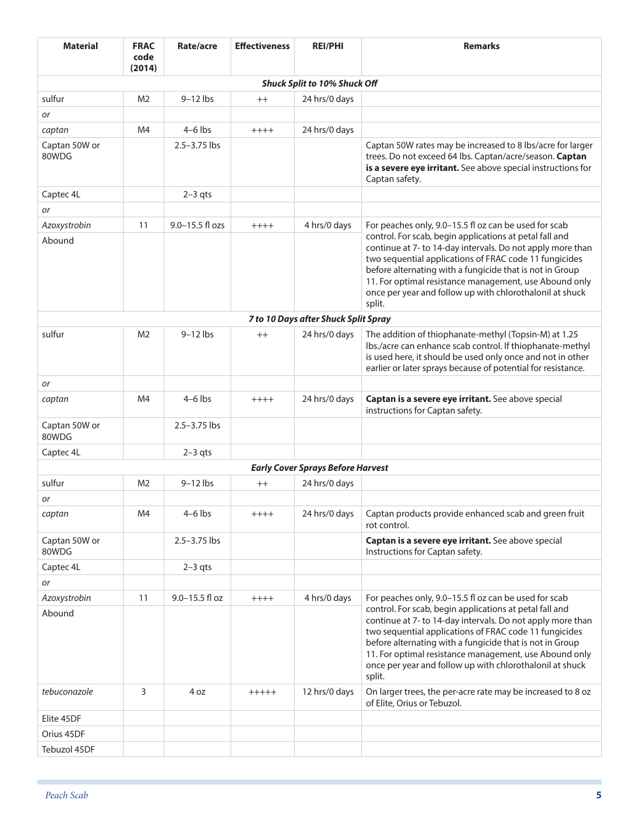| <b>Material</b>        | <b>FRAC</b><br>code<br>(2014) | Rate/acre        | <b>Effectiveness</b> | <b>REI/PHI</b>                           | <b>Remarks</b>                                                                                                                                                                                                                                                                                                                                                              |
|------------------------|-------------------------------|------------------|----------------------|------------------------------------------|-----------------------------------------------------------------------------------------------------------------------------------------------------------------------------------------------------------------------------------------------------------------------------------------------------------------------------------------------------------------------------|
|                        |                               |                  |                      | <b>Shuck Split to 10% Shuck Off</b>      |                                                                                                                                                                                                                                                                                                                                                                             |
| sulfur                 | M2                            | $9-12$ lbs       | $++$                 | 24 hrs/0 days                            |                                                                                                                                                                                                                                                                                                                                                                             |
| or                     |                               |                  |                      |                                          |                                                                                                                                                                                                                                                                                                                                                                             |
| captan                 | M4                            | $4-6$ lbs        | $++++$               | 24 hrs/0 days                            |                                                                                                                                                                                                                                                                                                                                                                             |
| Captan 50W or<br>80WDG |                               | $2.5 - 3.75$ lbs |                      |                                          | Captan 50W rates may be increased to 8 lbs/acre for larger<br>trees. Do not exceed 64 lbs. Captan/acre/season. Captan<br>is a severe eye irritant. See above special instructions for<br>Captan safety.                                                                                                                                                                     |
| Captec 4L              |                               | $2-3$ qts        |                      |                                          |                                                                                                                                                                                                                                                                                                                                                                             |
| <b>or</b>              |                               |                  |                      |                                          |                                                                                                                                                                                                                                                                                                                                                                             |
| Azoxystrobin           | 11                            | 9.0-15.5 fl ozs  | $++++$               | 4 hrs/0 days                             | For peaches only, 9.0-15.5 fl oz can be used for scab                                                                                                                                                                                                                                                                                                                       |
| Abound                 |                               |                  |                      |                                          | control. For scab, begin applications at petal fall and<br>continue at 7- to 14-day intervals. Do not apply more than<br>two sequential applications of FRAC code 11 fungicides<br>before alternating with a fungicide that is not in Group<br>11. For optimal resistance management, use Abound only<br>once per year and follow up with chlorothalonil at shuck<br>split. |
|                        |                               |                  |                      | 7 to 10 Days after Shuck Split Spray     |                                                                                                                                                                                                                                                                                                                                                                             |
| sulfur                 | M <sub>2</sub>                | $9-12$ lbs       | $^{++}$              | 24 hrs/0 days                            | The addition of thiophanate-methyl (Topsin-M) at 1.25<br>Ibs./acre can enhance scab control. If thiophanate-methyl<br>is used here, it should be used only once and not in other<br>earlier or later sprays because of potential for resistance.                                                                                                                            |
| or                     |                               |                  |                      |                                          |                                                                                                                                                                                                                                                                                                                                                                             |
| captan                 | M4                            | $4-6$ lbs        | $++++$               | 24 hrs/0 days                            | Captan is a severe eye irritant. See above special<br>instructions for Captan safety.                                                                                                                                                                                                                                                                                       |
| Captan 50W or<br>80WDG |                               | 2.5-3.75 lbs     |                      |                                          |                                                                                                                                                                                                                                                                                                                                                                             |
| Captec 4L              |                               | $2-3$ qts        |                      |                                          |                                                                                                                                                                                                                                                                                                                                                                             |
|                        |                               |                  |                      | <b>Early Cover Sprays Before Harvest</b> |                                                                                                                                                                                                                                                                                                                                                                             |
| sulfur                 | M <sub>2</sub>                | $9-12$ lbs       | $^{++}$              | 24 hrs/0 days                            |                                                                                                                                                                                                                                                                                                                                                                             |
| or                     |                               |                  |                      |                                          |                                                                                                                                                                                                                                                                                                                                                                             |
| captan                 | M4                            | $4-6$ lbs        | $+++++$              | 24 hrs/0 days                            | Captan products provide enhanced scab and green fruit<br>rot control.                                                                                                                                                                                                                                                                                                       |
| Captan 50W or<br>80WDG |                               | 2.5-3.75 lbs     |                      |                                          | Captan is a severe eye irritant. See above special<br>Instructions for Captan safety.                                                                                                                                                                                                                                                                                       |
| Captec 4L              |                               | $2-3$ qts        |                      |                                          |                                                                                                                                                                                                                                                                                                                                                                             |
| or                     |                               |                  |                      |                                          |                                                                                                                                                                                                                                                                                                                                                                             |
| Azoxystrobin           | 11                            | 9.0-15.5 fl oz   | $++++$               | 4 hrs/0 days                             | For peaches only, 9.0-15.5 fl oz can be used for scab                                                                                                                                                                                                                                                                                                                       |
| Abound                 |                               |                  |                      |                                          | control. For scab, begin applications at petal fall and<br>continue at 7- to 14-day intervals. Do not apply more than<br>two sequential applications of FRAC code 11 fungicides<br>before alternating with a fungicide that is not in Group<br>11. For optimal resistance management, use Abound only<br>once per year and follow up with chlorothalonil at shuck<br>split. |
| tebuconazole           | 3                             | 4 oz             | $+++++$              | 12 hrs/0 days                            | On larger trees, the per-acre rate may be increased to 8 oz<br>of Elite, Orius or Tebuzol.                                                                                                                                                                                                                                                                                  |
| Elite 45DF             |                               |                  |                      |                                          |                                                                                                                                                                                                                                                                                                                                                                             |
| Orius 45DF             |                               |                  |                      |                                          |                                                                                                                                                                                                                                                                                                                                                                             |
| Tebuzol 45DF           |                               |                  |                      |                                          |                                                                                                                                                                                                                                                                                                                                                                             |